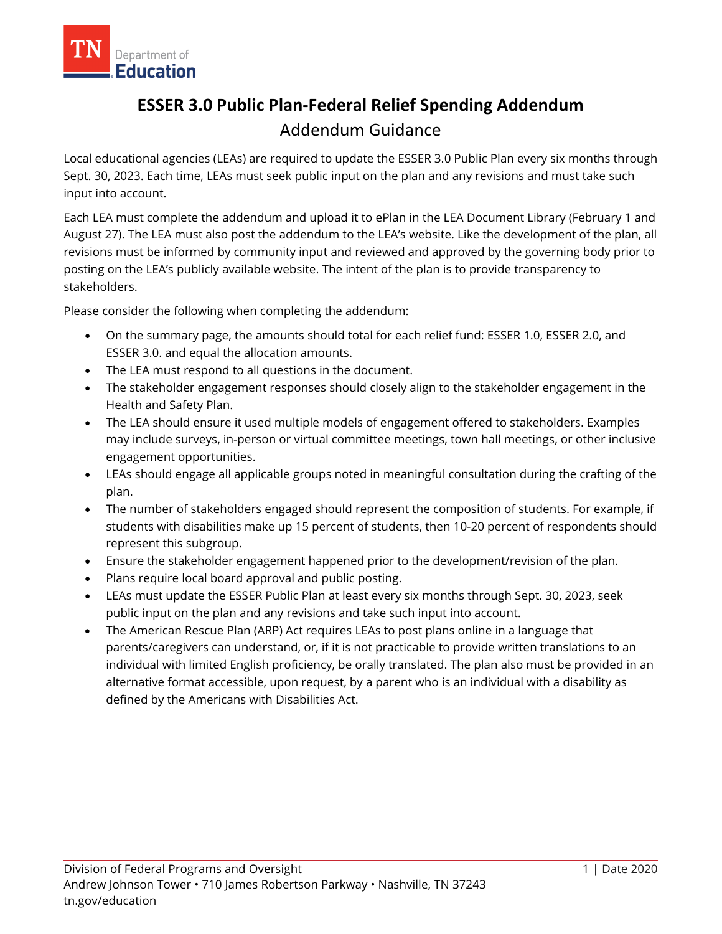

# **ESSER 3.0 Public Plan-Federal Relief Spending Addendum** Addendum Guidance

Local educational agencies (LEAs) are required to update the ESSER 3.0 Public Plan every six months through Sept. 30, 2023. Each time, LEAs must seek public input on the plan and any revisions and must take such input into account.

Each LEA must complete the addendum and upload it to ePlan in the LEA Document Library (February 1 and August 27). The LEA must also post the addendum to the LEA's website. Like the development of the plan, all revisions must be informed by community input and reviewed and approved by the governing body prior to posting on the LEA's publicly available website. The intent of the plan is to provide transparency to stakeholders.

Please consider the following when completing the addendum:

- On the summary page, the amounts should total for each relief fund: ESSER 1.0, ESSER 2.0, and ESSER 3.0. and equal the allocation amounts.
- The LEA must respond to all questions in the document.
- The stakeholder engagement responses should closely align to the stakeholder engagement in the Health and Safety Plan.
- The LEA should ensure it used multiple models of engagement offered to stakeholders. Examples may include surveys, in-person or virtual committee meetings, town hall meetings, or other inclusive engagement opportunities.
- LEAs should engage all applicable groups noted in meaningful consultation during the crafting of the plan.
- The number of stakeholders engaged should represent the composition of students. For example, if students with disabilities make up 15 percent of students, then 10-20 percent of respondents should represent this subgroup.
- Ensure the stakeholder engagement happened prior to the development/revision of the plan.
- Plans require local board approval and public posting.
- LEAs must update the ESSER Public Plan at least every six months through Sept. 30, 2023, seek public input on the plan and any revisions and take such input into account.
- The American Rescue Plan (ARP) Act requires LEAs to post plans online in a language that parents/caregivers can understand, or, if it is not practicable to provide written translations to an individual with limited English proficiency, be orally translated. The plan also must be provided in an alternative format accessible, upon request, by a parent who is an individual with a disability as defined by the Americans with Disabilities Act.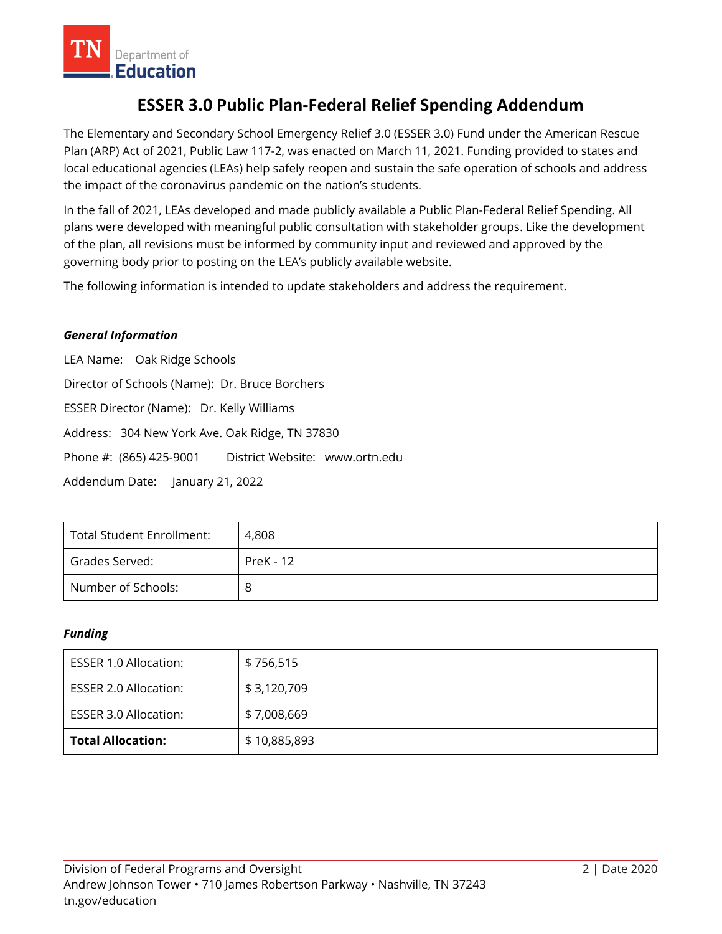

## **ESSER 3.0 Public Plan-Federal Relief Spending Addendum**

The Elementary and Secondary School Emergency Relief 3.0 (ESSER 3.0) Fund under the American Rescue Plan (ARP) Act of 2021, Public Law 117-2, was enacted on March 11, 2021. Funding provided to states and local educational agencies (LEAs) help safely reopen and sustain the safe operation of schools and address the impact of the coronavirus pandemic on the nation's students.

In the fall of 2021, LEAs developed and made publicly available a Public Plan-Federal Relief Spending. All plans were developed with meaningful public consultation with stakeholder groups. Like the development of the plan, all revisions must be informed by community input and reviewed and approved by the governing body prior to posting on the LEA's publicly available website.

The following information is intended to update stakeholders and address the requirement.

#### *General Information*

LEA Name: Oak Ridge Schools Director of Schools (Name): Dr. Bruce Borchers ESSER Director (Name): Dr. Kelly Williams Address: 304 New York Ave. Oak Ridge, TN 37830 Phone #: (865) 425-9001 District Website: www.ortn.edu Addendum Date: January 21, 2022

| <b>Total Student Enrollment:</b> | 4.808            |
|----------------------------------|------------------|
| Grades Served:                   | <b>PreK - 12</b> |
| Number of Schools:               |                  |

#### *Funding*

| ESSER 1.0 Allocation:        | \$756,515    |
|------------------------------|--------------|
| ESSER 2.0 Allocation:        | \$3,120,709  |
| <b>ESSER 3.0 Allocation:</b> | \$7,008,669  |
| <b>Total Allocation:</b>     | \$10,885,893 |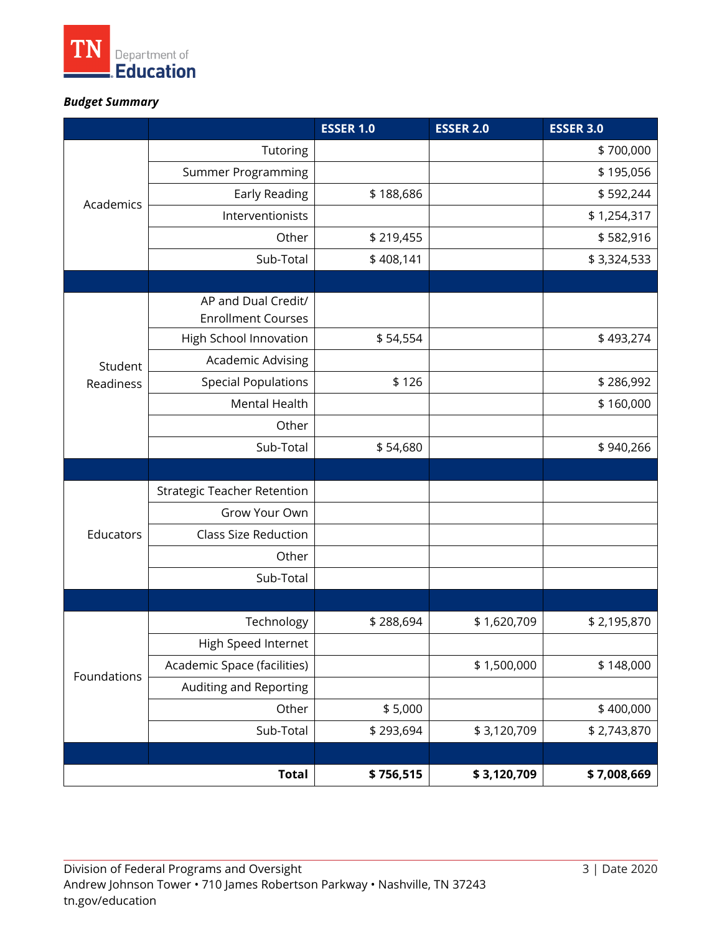

## *Budget Summary*

|                      |                                    | <b>ESSER 1.0</b> | <b>ESSER 2.0</b> | <b>ESSER 3.0</b> |
|----------------------|------------------------------------|------------------|------------------|------------------|
| Academics            | Tutoring                           |                  |                  | \$700,000        |
|                      | Summer Programming                 |                  |                  | \$195,056        |
|                      | Early Reading                      | \$188,686        |                  | \$592,244        |
|                      | Interventionists                   |                  |                  | \$1,254,317      |
|                      | Other                              | \$219,455        |                  | \$582,916        |
|                      | Sub-Total                          | \$408,141        |                  | \$3,324,533      |
|                      |                                    |                  |                  |                  |
| Student<br>Readiness | AP and Dual Credit/                |                  |                  |                  |
|                      | <b>Enrollment Courses</b>          |                  |                  |                  |
|                      | High School Innovation             | \$54,554         |                  | \$493,274        |
|                      | <b>Academic Advising</b>           |                  |                  |                  |
|                      | <b>Special Populations</b>         | \$126            |                  | \$286,992        |
|                      | Mental Health                      |                  |                  | \$160,000        |
|                      | Other                              |                  |                  |                  |
|                      | Sub-Total                          | \$54,680         |                  | \$940,266        |
|                      |                                    |                  |                  |                  |
| Educators            | <b>Strategic Teacher Retention</b> |                  |                  |                  |
|                      | Grow Your Own                      |                  |                  |                  |
|                      | <b>Class Size Reduction</b>        |                  |                  |                  |
|                      | Other                              |                  |                  |                  |
|                      | Sub-Total                          |                  |                  |                  |
|                      |                                    |                  |                  |                  |
| Foundations          | Technology                         | \$288,694        | \$1,620,709      | \$2,195,870      |
|                      | High Speed Internet                |                  |                  |                  |
|                      | Academic Space (facilities)        |                  | \$1,500,000      | \$148,000        |
|                      | Auditing and Reporting             |                  |                  |                  |
|                      | Other                              | \$5,000          |                  | \$400,000        |
|                      | Sub-Total                          | \$293,694        | \$3,120,709      | \$2,743,870      |
|                      |                                    |                  |                  |                  |
| <b>Total</b>         |                                    | \$756,515        | \$3,120,709      | \$7,008,669      |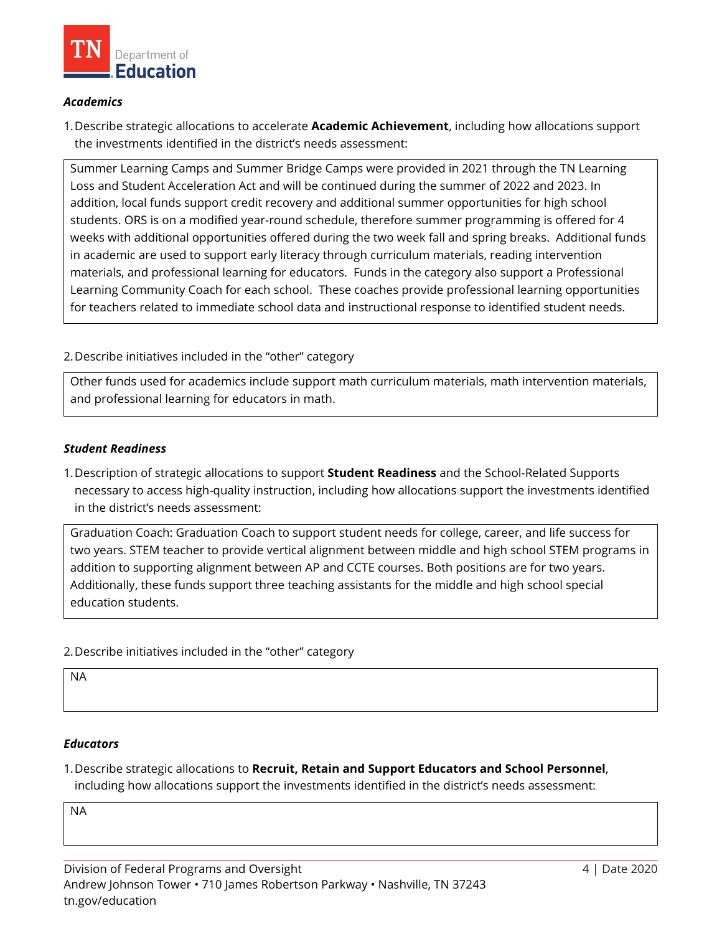

#### *Academics*

1.Describe strategic allocations to accelerate **Academic Achievement**, including how allocations support the investments identified in the district's needs assessment:

Summer Learning Camps and Summer Bridge Camps were provided in 2021 through the TN Learning Loss and Student Acceleration Act and will be continued during the summer of 2022 and 2023. In addition, local funds support credit recovery and additional summer opportunities for high school students. ORS is on a modified year-round schedule, therefore summer programming is offered for 4 weeks with additional opportunities offered during the two week fall and spring breaks. Additional funds in academic are used to support early literacy through curriculum materials, reading intervention materials, and professional learning for educators. Funds in the category also support a Professional Learning Community Coach for each school. These coaches provide professional learning opportunities for teachers related to immediate school data and instructional response to identified student needs.

#### 2.Describe initiatives included in the "other" category

Other funds used for academics include support math curriculum materials, math intervention materials, and professional learning for educators in math.

#### *Student Readiness*

1.Description of strategic allocations to support **Student Readiness** and the School-Related Supports necessary to access high-quality instruction, including how allocations support the investments identified in the district's needs assessment:

Graduation Coach: Graduation Coach to support student needs for college, career, and life success for two years. STEM teacher to provide vertical alignment between middle and high school STEM programs in addition to supporting alignment between AP and CCTE courses. Both positions are for two years. Additionally, these funds support three teaching assistants for the middle and high school special education students.

2.Describe initiatives included in the "other" category

NA

#### *Educators*

1.Describe strategic allocations to **Recruit, Retain and Support Educators and School Personnel**, including how allocations support the investments identified in the district's needs assessment:

NA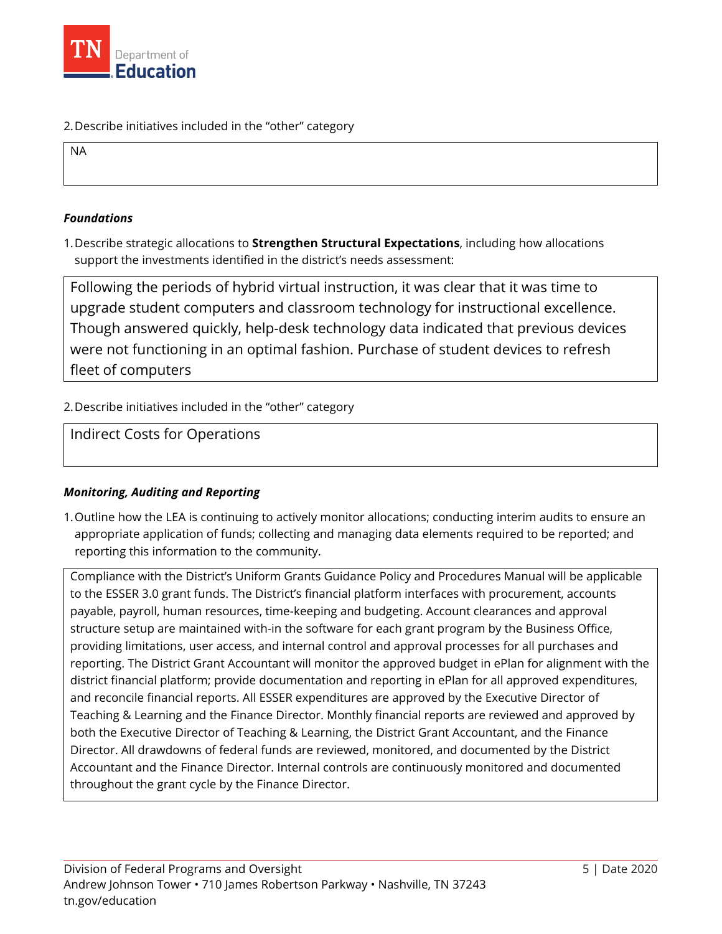

2.Describe initiatives included in the "other" category

NA

#### *Foundations*

1.Describe strategic allocations to **Strengthen Structural Expectations**, including how allocations support the investments identified in the district's needs assessment:

Following the periods of hybrid virtual instruction, it was clear that it was time to upgrade student computers and classroom technology for instructional excellence. Though answered quickly, help-desk technology data indicated that previous devices were not functioning in an optimal fashion. Purchase of student devices to refresh fleet of computers

2.Describe initiatives included in the "other" category

### Indirect Costs for Operations

#### *Monitoring, Auditing and Reporting*

1.Outline how the LEA is continuing to actively monitor allocations; conducting interim audits to ensure an appropriate application of funds; collecting and managing data elements required to be reported; and reporting this information to the community.

Compliance with the District's Uniform Grants Guidance Policy and Procedures Manual will be applicable to the ESSER 3.0 grant funds. The District's financial platform interfaces with procurement, accounts payable, payroll, human resources, time-keeping and budgeting. Account clearances and approval structure setup are maintained with-in the software for each grant program by the Business Office, providing limitations, user access, and internal control and approval processes for all purchases and reporting. The District Grant Accountant will monitor the approved budget in ePlan for alignment with the district financial platform; provide documentation and reporting in ePlan for all approved expenditures, and reconcile financial reports. All ESSER expenditures are approved by the Executive Director of Teaching & Learning and the Finance Director. Monthly financial reports are reviewed and approved by both the Executive Director of Teaching & Learning, the District Grant Accountant, and the Finance Director. All drawdowns of federal funds are reviewed, monitored, and documented by the District Accountant and the Finance Director. Internal controls are continuously monitored and documented throughout the grant cycle by the Finance Director.